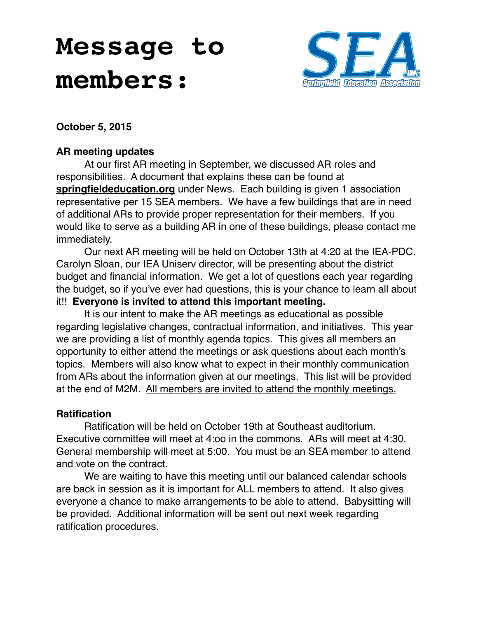# **Message to members:**



**October 5, 2015**

### **AR meeting updates**

At our first AR meeting in September, we discussed AR roles and responsibilities. A document that explains these can be found at **[springfieldeducation.org](http://springfieldeducation.org)** under News. Each building is given 1 association representative per 15 SEA members. We have a few buildings that are in need of additional ARs to provide proper representation for their members. If you would like to serve as a building AR in one of these buildings, please contact me immediately.

Our next AR meeting will be held on October 13th at 4:20 at the IEA-PDC. Carolyn Sloan, our IEA Uniserv director, will be presenting about the district budget and financial information. We get a lot of questions each year regarding the budget, so if you've ever had questions, this is your chance to learn all about it!! **Everyone is invited to attend this important meeting.** 

It is our intent to make the AR meetings as educational as possible regarding legislative changes, contractual information, and initiatives. This year we are providing a list of monthly agenda topics. This gives all members an opportunity to either attend the meetings or ask questions about each month's topics. Members will also know what to expect in their monthly communication from ARs about the information given at our meetings. This list will be provided at the end of M2M. All members are invited to attend the monthly meetings.

#### **Ratification**

Ratification will be held on October 19th at Southeast auditorium. Executive committee will meet at 4:oo in the commons. ARs will meet at 4:30. General membership will meet at 5:00. You must be an SEA member to attend and vote on the contract.

We are waiting to have this meeting until our balanced calendar schools are back in session as it is important for ALL members to attend. It also gives everyone a chance to make arrangements to be able to attend. Babysitting will be provided. Additional information will be sent out next week regarding ratification procedures.